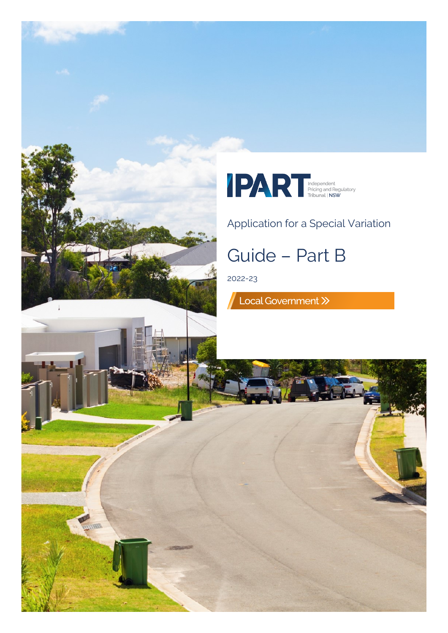





### Application for a Special Variation

# Guide – Part B

2022-23

Local Government >>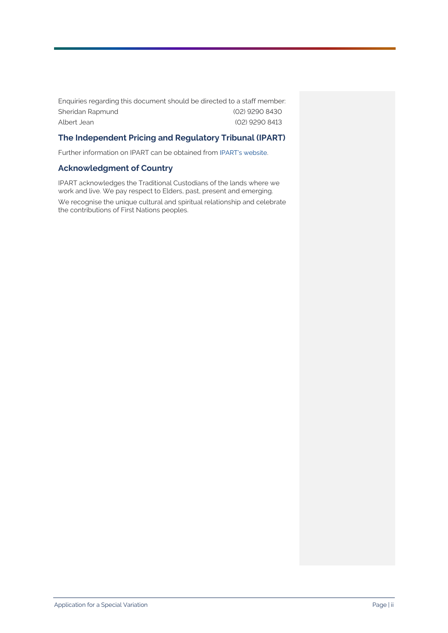Enquiries regarding this document should be directed to a staff member: Sheridan Rapmund (02) 9290 8430 Albert Jean (02) 9290 8413

#### **The Independent Pricing and Regulatory Tribunal (IPART)**

Further information on IPART can be obtained from [IPART's website.](https://www.ipart.nsw.gov.au/Home) 

#### **Acknowledgment of Country**

IPART acknowledges the Traditional Custodians of the lands where we work and live. We pay respect to Elders, past, present and emerging.

We recognise the unique cultural and spiritual relationship and celebrate the contributions of First Nations peoples.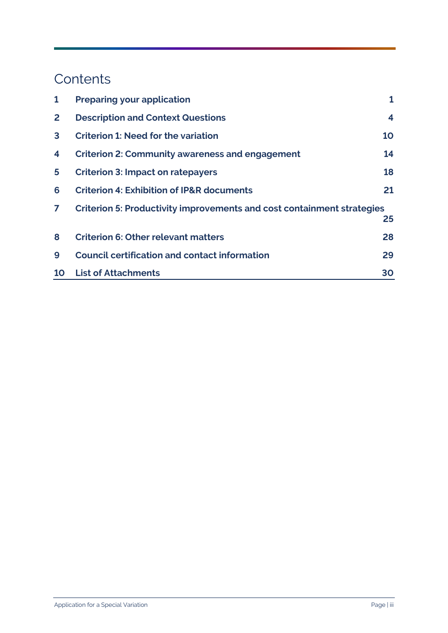## **Contents**

| $\mathbf{1}$   | <b>Preparing your application</b>                                      | 1                  |
|----------------|------------------------------------------------------------------------|--------------------|
| $\overline{2}$ | <b>Description and Context Questions</b>                               | $\overline{\bf 4}$ |
| $\mathbf{3}$   | <b>Criterion 1: Need for the variation</b>                             | 10                 |
| 4              | <b>Criterion 2: Community awareness and engagement</b>                 | 14                 |
| 5              | <b>Criterion 3: Impact on ratepayers</b>                               | 18                 |
| 6              | <b>Criterion 4: Exhibition of IP&amp;R documents</b>                   | 21                 |
| $\mathbf{7}$   | Criterion 5: Productivity improvements and cost containment strategies |                    |
|                |                                                                        | 25                 |
| 8              | <b>Criterion 6: Other relevant matters</b>                             | 28                 |
| 9              | <b>Council certification and contact information</b>                   | 29                 |
| <b>10</b>      | <b>List of Attachments</b>                                             | 30                 |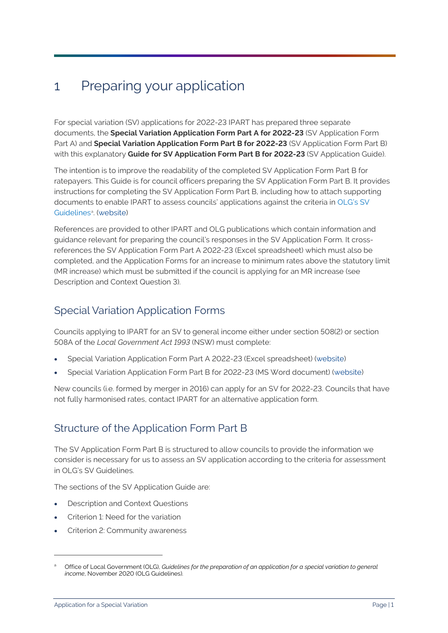## <span id="page-3-0"></span>1 Preparing your application

For special variation (SV) applications for 2022-23 IPART has prepared three separate documents, the **Special Variation Application Form Part A for 2022-23** (SV Application Form Part A) and **Special Variation Application Form Part B for 2022-23** (SV Application Form Part B) with this explanatory **Guide for SV Application Form Part B for 2022-23** (SV Application Guide).

The intention is to improve the readability of the completed SV Application Form Part B for ratepayers. This Guide is for council officers preparing the SV Application Form Part B. It provides instructions for completing the SV Application Form Part B, including how to attach supporting documents to enable IPART to assess councils' applications against the criteria in OLG's SV Guidelines<sup>[a](#page-3-1)</sup>. [\(website](https://www.ipart.nsw.gov.au/Home/Industries/Local-Government/For-Councils/Apply-for-a-special-variation-or-minimum-rate-increase))

References are provided to other IPART and OLG publications which contain information and guidance relevant for preparing the council's responses in the SV Application Form. It crossreferences the SV Application Form Part A 2022-23 (Excel spreadsheet) which must also be completed, and the Application Forms for an increase to minimum rates above the statutory limit (MR increase) which must be submitted if the council is applying for an MR increase (see Description and Context Question 3).

### Special Variation Application Forms

Councils applying to IPART for an SV to general income either under section 508(2) or section 508A of the *Local Government Act 1993* (NSW) must complete:

- Special Variation Application Form Part A 2022-23 (Excel spreadsheet) [\(website](https://www.ipart.nsw.gov.au/Home/Industries/Local-Government/For-Councils/Apply-for-a-special-variation-or-minimum-rate-increase))
- Special Variation Application Form Part B for 2022-23 (MS Word document) [\(website](https://www.ipart.nsw.gov.au/Home/Industries/Local-Government/For-Councils/Apply-for-a-special-variation-or-minimum-rate-increase))

New councils (i.e. formed by merger in 2016) can apply for an SV for 2022-23. Councils that have not fully harmonised rates, contact IPART for an alternative application form.

### Structure of the Application Form Part B

The SV Application Form Part B is structured to allow councils to provide the information we consider is necessary for us to assess an SV application according to the criteria for assessment in OLG's SV Guidelines.

The sections of the SV Application Guide are:

- Description and Context Questions
- Criterion 1: Need for the variation
- Criterion 2: Community awareness

<span id="page-3-1"></span><sup>a</sup> Office of Local Government (OLG), *Guidelines for the preparation of an application for a special variation to general income*, November 2020 (OLG Guidelines).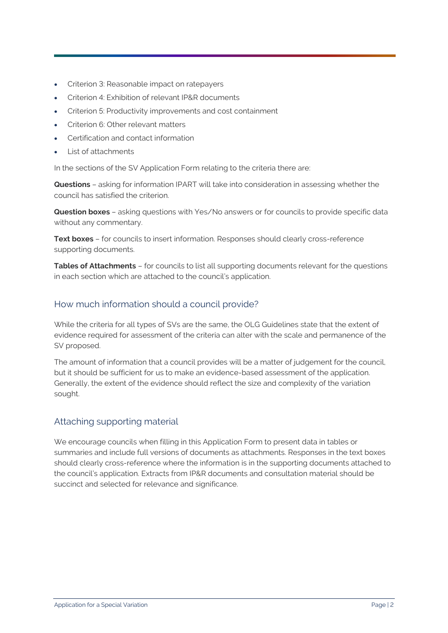- Criterion 3: Reasonable impact on ratepayers
- Criterion 4: Exhibition of relevant IP&R documents
- Criterion 5: Productivity improvements and cost containment
- Criterion 6: Other relevant matters
- Certification and contact information
- List of attachments

In the sections of the SV Application Form relating to the criteria there are:

**Questions** – asking for information IPART will take into consideration in assessing whether the council has satisfied the criterion.

**Question boxes** – asking questions with Yes/No answers or for councils to provide specific data without any commentary.

**Text boxes** – for councils to insert information. Responses should clearly cross-reference supporting documents.

**Tables of Attachments** – for councils to list all supporting documents relevant for the questions in each section which are attached to the council's application.

#### How much information should a council provide?

While the criteria for all types of SVs are the same, the OLG Guidelines state that the extent of evidence required for assessment of the criteria can alter with the scale and permanence of the SV proposed.

The amount of information that a council provides will be a matter of judgement for the council, but it should be sufficient for us to make an evidence-based assessment of the application. Generally, the extent of the evidence should reflect the size and complexity of the variation sought.

#### Attaching supporting material

We encourage councils when filling in this Application Form to present data in tables or summaries and include full versions of documents as attachments. Responses in the text boxes should clearly cross-reference where the information is in the supporting documents attached to the council's application. Extracts from IP&R documents and consultation material should be succinct and selected for relevance and significance.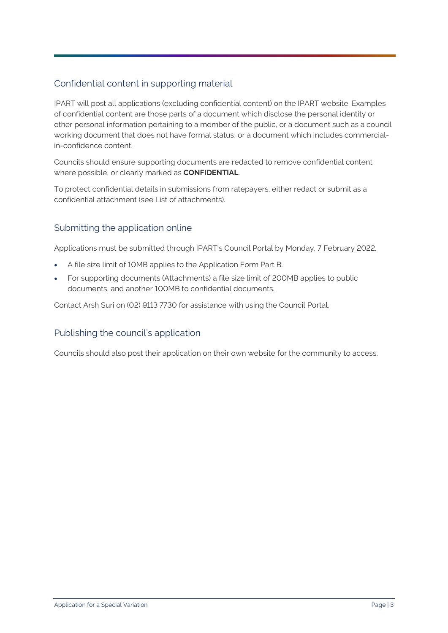#### Confidential content in supporting material

IPART will post all applications (excluding confidential content) on the IPART website. Examples of confidential content are those parts of a document which disclose the personal identity or other personal information pertaining to a member of the public, or a document such as a council working document that does not have formal status, or a document which includes commercialin-confidence content.

Councils should ensure supporting documents are redacted to remove confidential content where possible, or clearly marked as **CONFIDENTIAL**.

To protect confidential details in submissions from ratepayers, either redact or submit as a confidential attachment (see List of attachments).

#### Submitting the application online

Applications must be submitted through IPART's Council Portal by Monday, 7 February 2022.

- A file size limit of 10MB applies to the Application Form Part B.
- For supporting documents (Attachments) a file size limit of 200MB applies to public documents, and another 100MB to confidential documents.

Contact Arsh Suri on (02) 9113 7730 for assistance with using the Council Portal.

#### Publishing the council's application

Councils should also post their application on their own website for the community to access.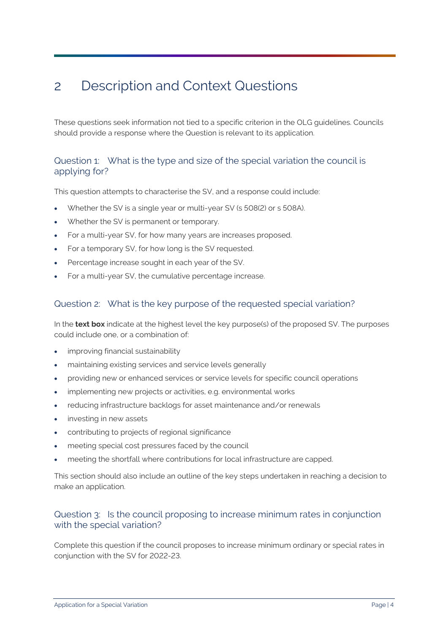## <span id="page-6-0"></span>2 Description and Context Questions

These questions seek information not tied to a specific criterion in the OLG guidelines. Councils should provide a response where the Question is relevant to its application.

#### Question 1: What is the type and size of the special variation the council is applying for?

This question attempts to characterise the SV, and a response could include:

- Whether the SV is a single year or multi-year SV (s 508(2) or s 508A).
- Whether the SV is permanent or temporary.
- For a multi-year SV, for how many years are increases proposed.
- For a temporary SV, for how long is the SV requested.
- Percentage increase sought in each year of the SV.
- For a multi-year SV, the cumulative percentage increase.

#### Question 2: What is the key purpose of the requested special variation?

In the **text box** indicate at the highest level the key purpose(s) of the proposed SV. The purposes could include one, or a combination of:

- improving financial sustainability
- maintaining existing services and service levels generally
- providing new or enhanced services or service levels for specific council operations
- implementing new projects or activities, e.g. environmental works
- reducing infrastructure backlogs for asset maintenance and/or renewals
- investing in new assets
- contributing to projects of regional significance
- meeting special cost pressures faced by the council
- meeting the shortfall where contributions for local infrastructure are capped.

This section should also include an outline of the key steps undertaken in reaching a decision to make an application.

#### Question 3: Is the council proposing to increase minimum rates in conjunction with the special variation?

Complete this question if the council proposes to increase minimum ordinary or special rates in conjunction with the SV for 2022-23.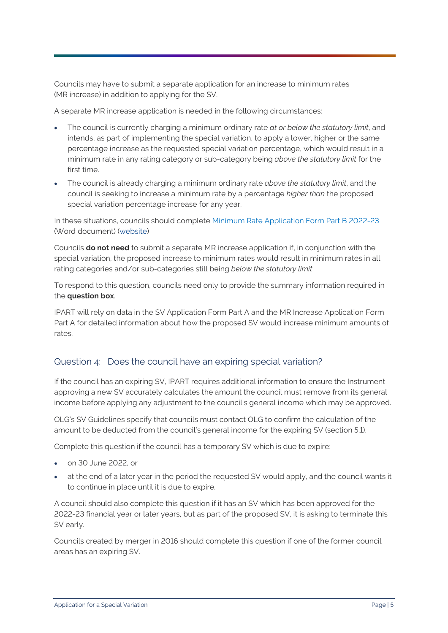Councils may have to submit a separate application for an increase to minimum rates (MR increase) in addition to applying for the SV.

A separate MR increase application is needed in the following circumstances:

- The council is currently charging a minimum ordinary rate *at or below the statutory limit*, and intends, as part of implementing the special variation, to apply a lower, higher or the same percentage increase as the requested special variation percentage, which would result in a minimum rate in any rating category or sub-category being *above the statutory limit* for the first time.
- The council is already charging a minimum ordinary rate *above the statutory limit*, and the council is seeking to increase a minimum rate by a percentage *higher than* the proposed special variation percentage increase for any year.

In these situations, councils should complete Minimum Rate Application Form Part B 2022-23 (Word document) [\(website](https://www.ipart.nsw.gov.au/Home/Industries/Local-Government/For-Councils/Apply-for-a-special-variation-or-minimum-rate-increase))

Councils **do not need** to submit a separate MR increase application if, in conjunction with the special variation, the proposed increase to minimum rates would result in minimum rates in all rating categories and/or sub-categories still being *below the statutory limit*.

To respond to this question, councils need only to provide the summary information required in the **question box**.

IPART will rely on data in the SV Application Form Part A and the MR Increase Application Form Part A for detailed information about how the proposed SV would increase minimum amounts of rates.

#### Question 4: Does the council have an expiring special variation?

If the council has an expiring SV, IPART requires additional information to ensure the Instrument approving a new SV accurately calculates the amount the council must remove from its general income before applying any adjustment to the council's general income which may be approved.

OLG's SV Guidelines specify that councils must contact OLG to confirm the calculation of the amount to be deducted from the council's general income for the expiring SV (section 5.1).

Complete this question if the council has a temporary SV which is due to expire:

- on 30 June 2022, or
- at the end of a later year in the period the requested SV would apply, and the council wants it to continue in place until it is due to expire.

A council should also complete this question if it has an SV which has been approved for the 2022-23 financial year or later years, but as part of the proposed SV, it is asking to terminate this SV early.

Councils created by merger in 2016 should complete this question if one of the former council areas has an expiring SV.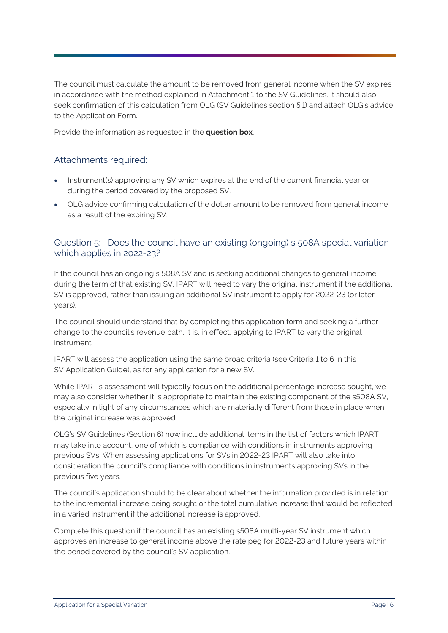The council must calculate the amount to be removed from general income when the SV expires in accordance with the method explained in Attachment 1 to the SV Guidelines. It should also seek confirmation of this calculation from OLG (SV Guidelines section 5.1) and attach OLG's advice to the Application Form.

Provide the information as requested in the **question box**.

#### Attachments required:

- Instrument(s) approving any SV which expires at the end of the current financial year or during the period covered by the proposed SV.
- OLG advice confirming calculation of the dollar amount to be removed from general income as a result of the expiring SV.

#### Question 5: Does the council have an existing (ongoing) s 508A special variation which applies in 2022-23?

If the council has an ongoing s 508A SV and is seeking additional changes to general income during the term of that existing SV, IPART will need to vary the original instrument if the additional SV is approved, rather than issuing an additional SV instrument to apply for 2022-23 (or later years).

The council should understand that by completing this application form and seeking a further change to the council's revenue path, it is, in effect, applying to IPART to vary the original instrument.

IPART will assess the application using the same broad criteria (see Criteria 1 to 6 in this SV Application Guide), as for any application for a new SV.

While IPART's assessment will typically focus on the additional percentage increase sought, we may also consider whether it is appropriate to maintain the existing component of the s508A SV, especially in light of any circumstances which are materially different from those in place when the original increase was approved.

OLG's SV Guidelines (Section 6) now include additional items in the list of factors which IPART may take into account, one of which is compliance with conditions in instruments approving previous SVs. When assessing applications for SVs in 2022-23 IPART will also take into consideration the council's compliance with conditions in instruments approving SVs in the previous five years.

The council's application should to be clear about whether the information provided is in relation to the incremental increase being sought or the total cumulative increase that would be reflected in a varied instrument if the additional increase is approved.

Complete this question if the council has an existing s508A multi-year SV instrument which approves an increase to general income above the rate peg for 2022-23 and future years within the period covered by the council's SV application.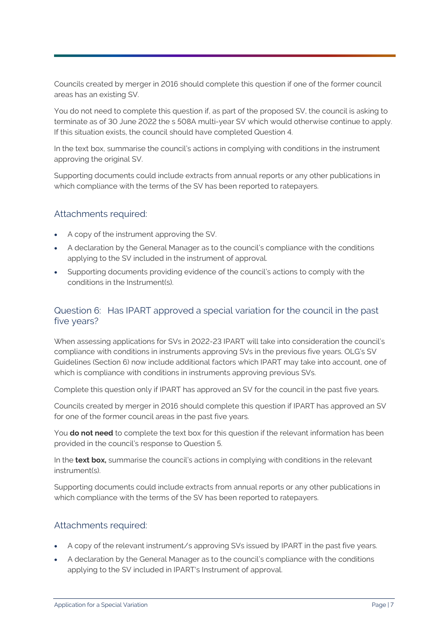Councils created by merger in 2016 should complete this question if one of the former council areas has an existing SV.

You do not need to complete this question if, as part of the proposed SV, the council is asking to terminate as of 30 June 2022 the s 508A multi-year SV which would otherwise continue to apply. If this situation exists, the council should have completed Question 4.

In the text box, summarise the council's actions in complying with conditions in the instrument approving the original SV.

Supporting documents could include extracts from annual reports or any other publications in which compliance with the terms of the SV has been reported to ratepayers.

#### Attachments required:

- A copy of the instrument approving the SV.
- A declaration by the General Manager as to the council's compliance with the conditions applying to the SV included in the instrument of approval.
- Supporting documents providing evidence of the council's actions to comply with the conditions in the Instrument(s).

#### Question 6: Has IPART approved a special variation for the council in the past five years?

When assessing applications for SVs in 2022-23 IPART will take into consideration the council's compliance with conditions in instruments approving SVs in the previous five years. OLG's SV Guidelines (Section 6) now include additional factors which IPART may take into account, one of which is compliance with conditions in instruments approving previous SVs.

Complete this question only if IPART has approved an SV for the council in the past five years.

Councils created by merger in 2016 should complete this question if IPART has approved an SV for one of the former council areas in the past five years.

You **do not need** to complete the text box for this question if the relevant information has been provided in the council's response to Question 5.

In the **text box,** summarise the council's actions in complying with conditions in the relevant instrument(s).

Supporting documents could include extracts from annual reports or any other publications in which compliance with the terms of the SV has been reported to ratepayers.

#### Attachments required:

- A copy of the relevant instrument/s approving SVs issued by IPART in the past five years.
- A declaration by the General Manager as to the council's compliance with the conditions applying to the SV included in IPART's Instrument of approval.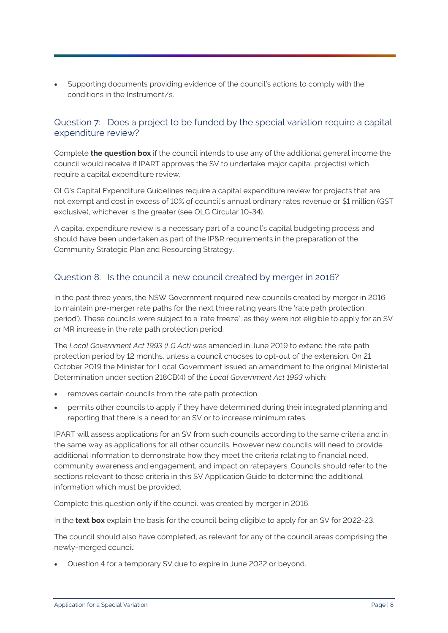• Supporting documents providing evidence of the council's actions to comply with the conditions in the Instrument/s.

#### Question 7: Does a project to be funded by the special variation require a capital expenditure review?

Complete **the question box** if the council intends to use any of the additional general income the council would receive if IPART approves the SV to undertake major capital project(s) which require a capital expenditure review.

OLG's Capital Expenditure Guidelines require a capital expenditure review for projects that are not exempt and cost in excess of 10% of council's annual ordinary rates revenue or \$1 million (GST exclusive), whichever is the greater (see OLG Circular 10-34).

A capital expenditure review is a necessary part of a council's capital budgeting process and should have been undertaken as part of the IP&R requirements in the preparation of the Community Strategic Plan and Resourcing Strategy.

#### Question 8: Is the council a new council created by merger in 2016?

In the past three years, the NSW Government required new councils created by merger in 2016 to maintain pre-merger rate paths for the next three rating years (the 'rate path protection period'). These councils were subject to a 'rate freeze', as they were not eligible to apply for an SV or MR increase in the rate path protection period.

The *Local Government Act 1993 (LG Act)* was amended in June 2019 to extend the rate path protection period by 12 months, unless a council chooses to opt-out of the extension. On 21 October 2019 the Minister for Local Government issued an amendment to the original Ministerial Determination under section 218CB(4) of the *Local Government Act 1993* which:

- removes certain councils from the rate path protection
- permits other councils to apply if they have determined during their integrated planning and reporting that there is a need for an SV or to increase minimum rates.

IPART will assess applications for an SV from such councils according to the same criteria and in the same way as applications for all other councils. However new councils will need to provide additional information to demonstrate how they meet the criteria relating to financial need, community awareness and engagement, and impact on ratepayers. Councils should refer to the sections relevant to those criteria in this SV Application Guide to determine the additional information which must be provided.

Complete this question only if the council was created by merger in 2016.

In the **text box** explain the basis for the council being eligible to apply for an SV for 2022-23.

The council should also have completed, as relevant for any of the council areas comprising the newly-merged council:

• Question 4 for a temporary SV due to expire in June 2022 or beyond.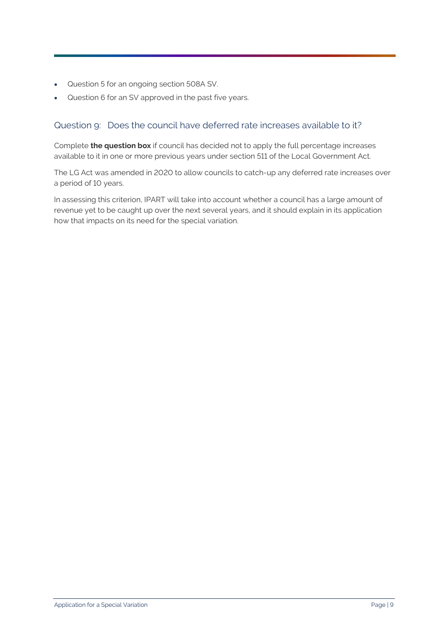- Question 5 for an ongoing section 508A SV.
- Question 6 for an SV approved in the past five years.

#### Question 9: Does the council have deferred rate increases available to it?

Complete **the question box** if council has decided not to apply the full percentage increases available to it in one or more previous years under section 511 of the Local Government Act.

The LG Act was amended in 2020 to allow councils to catch-up any deferred rate increases over a period of 10 years.

In assessing this criterion, IPART will take into account whether a council has a large amount of revenue yet to be caught up over the next several years, and it should explain in its application how that impacts on its need for the special variation.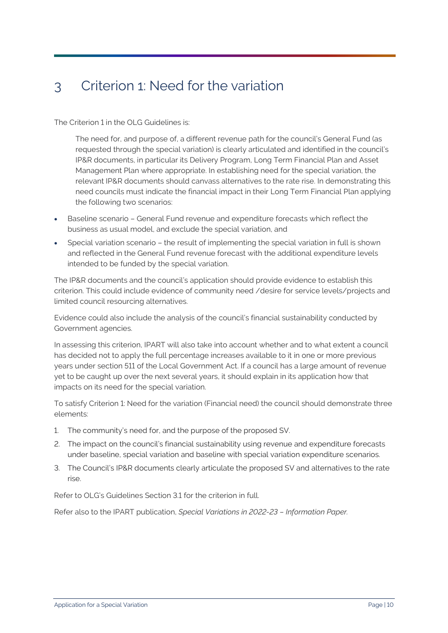## <span id="page-12-0"></span>3 Criterion 1: Need for the variation

The Criterion 1 in the OLG Guidelines is:

The need for, and purpose of, a different revenue path for the council's General Fund (as requested through the special variation) is clearly articulated and identified in the council's IP&R documents, in particular its Delivery Program, Long Term Financial Plan and Asset Management Plan where appropriate. In establishing need for the special variation, the relevant IP&R documents should canvass alternatives to the rate rise. In demonstrating this need councils must indicate the financial impact in their Long Term Financial Plan applying the following two scenarios:

- Baseline scenario General Fund revenue and expenditure forecasts which reflect the business as usual model, and exclude the special variation, and
- Special variation scenario the result of implementing the special variation in full is shown and reflected in the General Fund revenue forecast with the additional expenditure levels intended to be funded by the special variation.

The IP&R documents and the council's application should provide evidence to establish this criterion. This could include evidence of community need /desire for service levels/projects and limited council resourcing alternatives.

Evidence could also include the analysis of the council's financial sustainability conducted by Government agencies.

In assessing this criterion, IPART will also take into account whether and to what extent a council has decided not to apply the full percentage increases available to it in one or more previous years under section 511 of the Local Government Act. If a council has a large amount of revenue yet to be caught up over the next several years, it should explain in its application how that impacts on its need for the special variation.

To satisfy Criterion 1: Need for the variation (Financial need) the council should demonstrate three elements:

- 1. The community's need for, and the purpose of the proposed SV.
- 2. The impact on the council's financial sustainability using revenue and expenditure forecasts under baseline, special variation and baseline with special variation expenditure scenarios.
- 3. The Council's IP&R documents clearly articulate the proposed SV and alternatives to the rate rise.

Refer to OLG's Guidelines Section 3.1 for the criterion in full.

Refer also to the IPART publication, *Special Variations in 2022-23 – Information Paper.*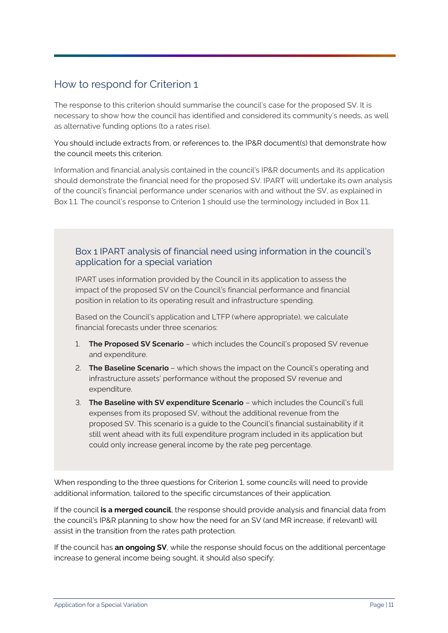### How to respond for Criterion 1

The response to this criterion should summarise the council's case for the proposed SV. It is necessary to show how the council has identified and considered its community's needs, as well as alternative funding options (to a rates rise).

You should include extracts from, or references to, the IP&R document(s) that demonstrate how the council meets this criterion.

Information and financial analysis contained in the council's IP&R documents and its application should demonstrate the financial need for the proposed SV. IPART will undertake its own analysis of the council's financial performance under scenarios with and without the SV, as explained in Box 1.1. The council's response to Criterion 1 should use the terminology included in Box 1.1.

#### Box 1 IPART analysis of financial need using information in the council's application for a special variation

IPART uses information provided by the Council in its application to assess the impact of the proposed SV on the Council's financial performance and financial position in relation to its operating result and infrastructure spending.

Based on the Council's application and LTFP (where appropriate), we calculate financial forecasts under three scenarios:

- 1. **The Proposed SV Scenario** which includes the Council's proposed SV revenue and expenditure.
- 2. **The Baseline Scenario** which shows the impact on the Council's operating and infrastructure assets' performance without the proposed SV revenue and expenditure.
- 3. **The Baseline with SV expenditure Scenario** which includes the Council's full expenses from its proposed SV, without the additional revenue from the proposed SV. This scenario is a guide to the Council's financial sustainability if it still went ahead with its full expenditure program included in its application but could only increase general income by the rate peg percentage.

When responding to the three questions for Criterion 1, some councils will need to provide additional information, tailored to the specific circumstances of their application.

If the council **is a merged council**, the response should provide analysis and financial data from the council's IP&R planning to show how the need for an SV (and MR increase, if relevant) will assist in the transition from the rates path protection.

If the council has **an ongoing SV**, while the response should focus on the additional percentage increase to general income being sought, it should also specify: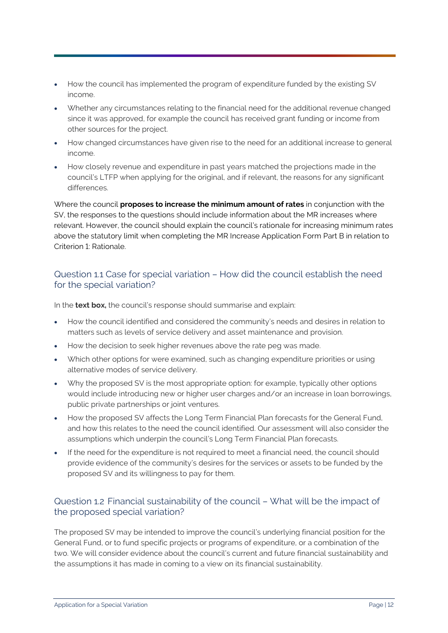- How the council has implemented the program of expenditure funded by the existing SV income.
- Whether any circumstances relating to the financial need for the additional revenue changed since it was approved, for example the council has received grant funding or income from other sources for the project.
- How changed circumstances have given rise to the need for an additional increase to general income.
- How closely revenue and expenditure in past years matched the projections made in the council's LTFP when applying for the original, and if relevant, the reasons for any significant differences.

Where the council **proposes to increase the minimum amount of rates** in conjunction with the SV, the responses to the questions should include information about the MR increases where relevant. However, the council should explain the council's rationale for increasing minimum rates above the statutory limit when completing the MR Increase Application Form Part B in relation to Criterion 1: Rationale.

#### Question 1.1 Case for special variation – How did the council establish the need for the special variation?

In the **text box,** the council's response should summarise and explain:

- How the council identified and considered the community's needs and desires in relation to matters such as levels of service delivery and asset maintenance and provision.
- How the decision to seek higher revenues above the rate peg was made.
- Which other options for were examined, such as changing expenditure priorities or using alternative modes of service delivery.
- Why the proposed SV is the most appropriate option: for example, typically other options would include introducing new or higher user charges and/or an increase in loan borrowings, public private partnerships or joint ventures.
- How the proposed SV affects the Long Term Financial Plan forecasts for the General Fund, and how this relates to the need the council identified. Our assessment will also consider the assumptions which underpin the council's Long Term Financial Plan forecasts.
- If the need for the expenditure is not required to meet a financial need, the council should provide evidence of the community's desires for the services or assets to be funded by the proposed SV and its willingness to pay for them.

#### Question 1.2 Financial sustainability of the council – What will be the impact of the proposed special variation?

The proposed SV may be intended to improve the council's underlying financial position for the General Fund, or to fund specific projects or programs of expenditure, or a combination of the two. We will consider evidence about the council's current and future financial sustainability and the assumptions it has made in coming to a view on its financial sustainability.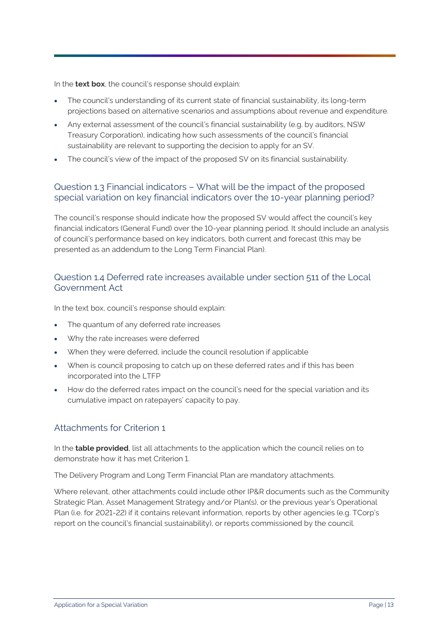In the **text box**, the council's response should explain:

- The council's understanding of its current state of financial sustainability, its long-term projections based on alternative scenarios and assumptions about revenue and expenditure.
- Any external assessment of the council's financial sustainability (e.g. by auditors, NSW Treasury Corporation), indicating how such assessments of the council's financial sustainability are relevant to supporting the decision to apply for an SV.
- The council's view of the impact of the proposed SV on its financial sustainability.

#### Question 1.3 Financial indicators – What will be the impact of the proposed special variation on key financial indicators over the 10-year planning period?

The council's response should indicate how the proposed SV would affect the council's key financial indicators (General Fund) over the 10-year planning period. It should include an analysis of council's performance based on key indicators, both current and forecast (this may be presented as an addendum to the Long Term Financial Plan).

#### Question 1.4 Deferred rate increases available under section 511 of the Local Government Act

In the text box, council's response should explain:

- The quantum of any deferred rate increases
- Why the rate increases were deferred
- When they were deferred, include the council resolution if applicable
- When is council proposing to catch up on these deferred rates and if this has been incorporated into the LTFP
- How do the deferred rates impact on the council's need for the special variation and its cumulative impact on ratepayers' capacity to pay.

#### Attachments for Criterion 1

In the **table provided**, list all attachments to the application which the council relies on to demonstrate how it has met Criterion 1.

The Delivery Program and Long Term Financial Plan are mandatory attachments.

Where relevant, other attachments could include other IP&R documents such as the Community Strategic Plan, Asset Management Strategy and/or Plan(s), or the previous year's Operational Plan (i.e. for 2021-22) if it contains relevant information, reports by other agencies (e.g. TCorp's report on the council's financial sustainability), or reports commissioned by the council.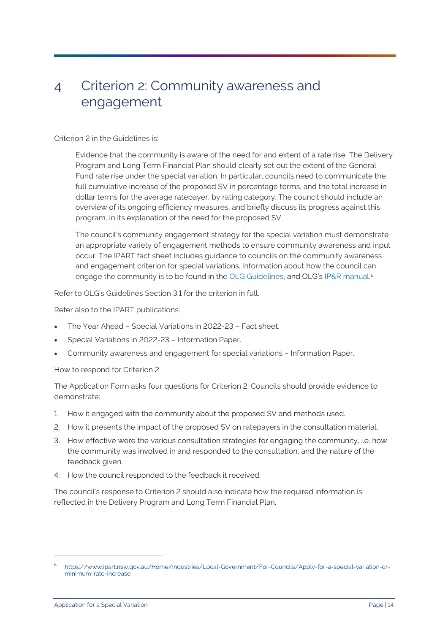### <span id="page-16-0"></span>4 Criterion 2: Community awareness and engagement

#### Criterion 2 in the Guidelines is:

Evidence that the community is aware of the need for and extent of a rate rise. The Delivery Program and Long Term Financial Plan should clearly set out the extent of the General Fund rate rise under the special variation. In particular, councils need to communicate the full cumulative increase of the proposed SV in percentage terms, and the total increase in dollar terms for the average ratepayer, by rating category. The council should include an overview of its ongoing efficiency measures, and briefly discuss its progress against this program, in its explanation of the need for the proposed SV.

The council's community engagement strategy for the special variation must demonstrate an appropriate variety of engagement methods to ensure community awareness and input occur. The IPART fact sheet includes guidance to councils on the community awareness and engagement criterion for special variations. Information about how the council can engage the community is to be found in the OLG Guidelines, and OLG's IP&R manual. [b](#page-16-1)

Refer to OLG's Guidelines Section 3.1 for the criterion in full.

Refer also to the IPART publications:

- The Year Ahead Special Variations in 2022-23 Fact sheet.
- Special Variations in 2022-23 Information Paper.
- Community awareness and engagement for special variations Information Paper.

How to respond for Criterion 2

The Application Form asks four questions for Criterion 2. Councils should provide evidence to demonstrate:

- 1. How it engaged with the community about the proposed SV and methods used.
- 2. How it presents the impact of the proposed SV on ratepayers in the consultation material.
- 3. How effective were the various consultation strategies for engaging the community, i.e. how the community was involved in and responded to the consultation, and the nature of the feedback given.
- 4. How the council responded to the feedback it received.

The council's response to Criterion 2 should also indicate how the required information is reflected in the Delivery Program and Long Term Financial Plan.

<span id="page-16-1"></span><sup>b</sup> [https://www.ipart.nsw.gov.au/Home/Industries/Local-Government/For-Councils/Apply-for-a-special-variation-or](https://www.ipart.nsw.gov.au/Home/Industries/Local-Government/For-Councils/Apply-for-a-special-variation-or-minimum-rate-increase)[minimum-rate-increase](https://www.ipart.nsw.gov.au/Home/Industries/Local-Government/For-Councils/Apply-for-a-special-variation-or-minimum-rate-increase)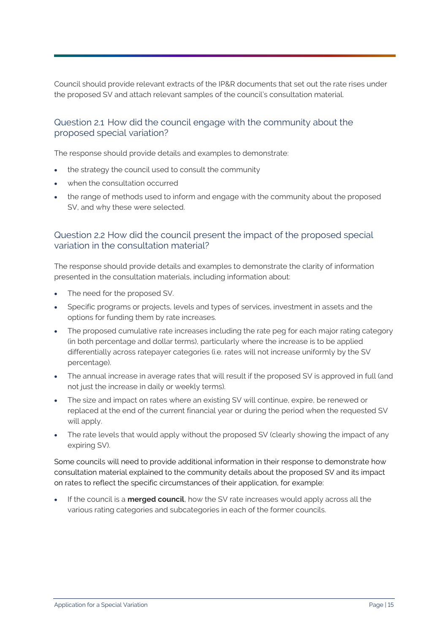Council should provide relevant extracts of the IP&R documents that set out the rate rises under the proposed SV and attach relevant samples of the council's consultation material.

#### Question 2.1 How did the council engage with the community about the proposed special variation?

The response should provide details and examples to demonstrate:

- the strategy the council used to consult the community
- when the consultation occurred
- the range of methods used to inform and engage with the community about the proposed SV, and why these were selected.

#### Question 2.2 How did the council present the impact of the proposed special variation in the consultation material?

The response should provide details and examples to demonstrate the clarity of information presented in the consultation materials, including information about:

- The need for the proposed SV.
- Specific programs or projects, levels and types of services, investment in assets and the options for funding them by rate increases.
- The proposed cumulative rate increases including the rate peg for each major rating category (in both percentage and dollar terms), particularly where the increase is to be applied differentially across ratepayer categories (i.e. rates will not increase uniformly by the SV percentage).
- The annual increase in average rates that will result if the proposed SV is approved in full (and not just the increase in daily or weekly terms).
- The size and impact on rates where an existing SV will continue, expire, be renewed or replaced at the end of the current financial year or during the period when the requested SV will apply.
- The rate levels that would apply without the proposed SV (clearly showing the impact of any expiring SV).

Some councils will need to provide additional information in their response to demonstrate how consultation material explained to the community details about the proposed SV and its impact on rates to reflect the specific circumstances of their application, for example:

• If the council is a **merged council**, how the SV rate increases would apply across all the various rating categories and subcategories in each of the former councils.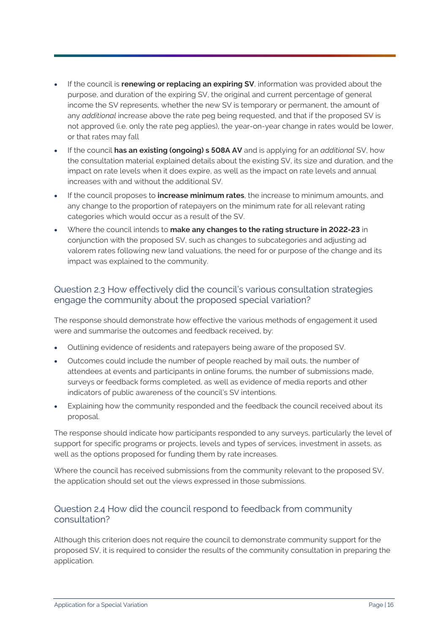- If the council is **renewing or replacing an expiring SV**, information was provided about the purpose, and duration of the expiring SV, the original and current percentage of general income the SV represents, whether the new SV is temporary or permanent, the amount of any *additional* increase above the rate peg being requested, and that if the proposed SV is not approved (i.e. only the rate peg applies), the year-on-year change in rates would be lower, or that rates may fall
- If the council **has an existing (ongoing) s 508A AV** and is applying for an *additional* SV, how the consultation material explained details about the existing SV, its size and duration, and the impact on rate levels when it does expire, as well as the impact on rate levels and annual increases with and without the additional SV.
- If the council proposes to **increase minimum rates**, the increase to minimum amounts, and any change to the proportion of ratepayers on the minimum rate for all relevant rating categories which would occur as a result of the SV.
- Where the council intends to **make any changes to the rating structure in 2022-23** in conjunction with the proposed SV, such as changes to subcategories and adjusting ad valorem rates following new land valuations, the need for or purpose of the change and its impact was explained to the community.

#### Question 2.3 How effectively did the council's various consultation strategies engage the community about the proposed special variation?

The response should demonstrate how effective the various methods of engagement it used were and summarise the outcomes and feedback received, by:

- Outlining evidence of residents and ratepayers being aware of the proposed SV.
- Outcomes could include the number of people reached by mail outs, the number of attendees at events and participants in online forums, the number of submissions made, surveys or feedback forms completed, as well as evidence of media reports and other indicators of public awareness of the council's SV intentions.
- Explaining how the community responded and the feedback the council received about its proposal.

The response should indicate how participants responded to any surveys, particularly the level of support for specific programs or projects, levels and types of services, investment in assets, as well as the options proposed for funding them by rate increases.

Where the council has received submissions from the community relevant to the proposed SV, the application should set out the views expressed in those submissions.

#### Question 2.4 How did the council respond to feedback from community consultation?

Although this criterion does not require the council to demonstrate community support for the proposed SV, it is required to consider the results of the community consultation in preparing the application.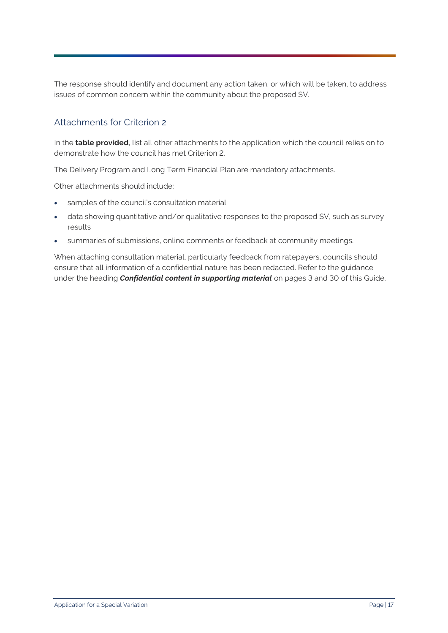The response should identify and document any action taken, or which will be taken, to address issues of common concern within the community about the proposed SV.

#### Attachments for Criterion 2

In the **table provided**, list all other attachments to the application which the council relies on to demonstrate how the council has met Criterion 2.

The Delivery Program and Long Term Financial Plan are mandatory attachments.

Other attachments should include:

- samples of the council's consultation material
- data showing quantitative and/or qualitative responses to the proposed SV, such as survey results
- summaries of submissions, online comments or feedback at community meetings.

When attaching consultation material, particularly feedback from ratepayers, councils should ensure that all information of a confidential nature has been redacted. Refer to the guidance under the heading *Confidential content in supporting material* on pages 3 and 30 of this Guide.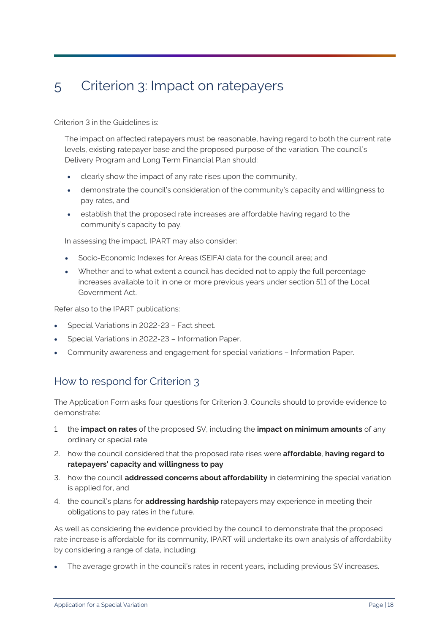## <span id="page-20-0"></span>5 Criterion 3: Impact on ratepayers

Criterion 3 in the Guidelines is:

The impact on affected ratepayers must be reasonable, having regard to both the current rate levels, existing ratepayer base and the proposed purpose of the variation. The council's Delivery Program and Long Term Financial Plan should:

- clearly show the impact of any rate rises upon the community,
- demonstrate the council's consideration of the community's capacity and willingness to pay rates, and
- establish that the proposed rate increases are affordable having regard to the community's capacity to pay.

In assessing the impact, IPART may also consider:

- Socio-Economic Indexes for Areas (SEIFA) data for the council area; and
- Whether and to what extent a council has decided not to apply the full percentage increases available to it in one or more previous years under section 511 of the Local Government Act.

Refer also to the IPART publications:

- Special Variations in 2022-23 Fact sheet.
- Special Variations in 2022-23 Information Paper.
- Community awareness and engagement for special variations Information Paper.

#### How to respond for Criterion 3

The Application Form asks four questions for Criterion 3. Councils should to provide evidence to demonstrate:

- 1. the **impact on rates** of the proposed SV, including the **impact on minimum amounts** of any ordinary or special rate
- 2. how the council considered that the proposed rate rises were **affordable**, **having regard to ratepayers' capacity and willingness to pay**
- 3. how the council **addressed concerns about affordability** in determining the special variation is applied for, and
- 4. the council's plans for **addressing hardship** ratepayers may experience in meeting their obligations to pay rates in the future.

As well as considering the evidence provided by the council to demonstrate that the proposed rate increase is affordable for its community, IPART will undertake its own analysis of affordability by considering a range of data, including:

The average growth in the council's rates in recent years, including previous SV increases.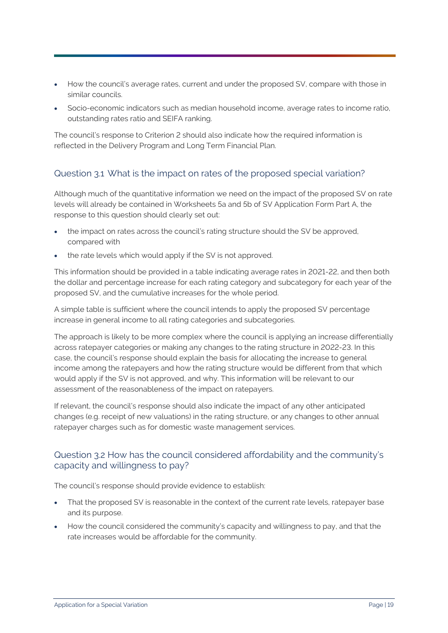- How the council's average rates, current and under the proposed SV, compare with those in similar councils.
- Socio-economic indicators such as median household income, average rates to income ratio, outstanding rates ratio and SEIFA ranking.

The council's response to Criterion 2 should also indicate how the required information is reflected in the Delivery Program and Long Term Financial Plan.

#### Question 3.1 What is the impact on rates of the proposed special variation?

Although much of the quantitative information we need on the impact of the proposed SV on rate levels will already be contained in Worksheets 5a and 5b of SV Application Form Part A, the response to this question should clearly set out:

- the impact on rates across the council's rating structure should the SV be approved, compared with
- the rate levels which would apply if the SV is not approved.

This information should be provided in a table indicating average rates in 2021-22, and then both the dollar and percentage increase for each rating category and subcategory for each year of the proposed SV, and the cumulative increases for the whole period.

A simple table is sufficient where the council intends to apply the proposed SV percentage increase in general income to all rating categories and subcategories.

The approach is likely to be more complex where the council is applying an increase differentially across ratepayer categories or making any changes to the rating structure in 2022-23. In this case, the council's response should explain the basis for allocating the increase to general income among the ratepayers and how the rating structure would be different from that which would apply if the SV is not approved, and why. This information will be relevant to our assessment of the reasonableness of the impact on ratepayers.

If relevant, the council's response should also indicate the impact of any other anticipated changes (e.g. receipt of new valuations) in the rating structure, or any changes to other annual ratepayer charges such as for domestic waste management services.

#### Question 3.2 How has the council considered affordability and the community's capacity and willingness to pay?

The council's response should provide evidence to establish:

- That the proposed SV is reasonable in the context of the current rate levels, ratepayer base and its purpose.
- How the council considered the community's capacity and willingness to pay, and that the rate increases would be affordable for the community.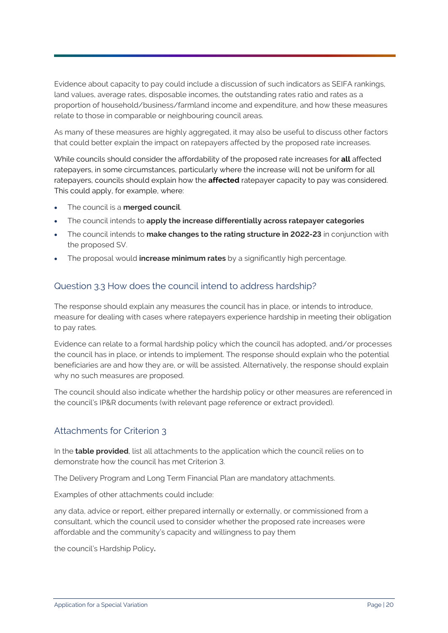Evidence about capacity to pay could include a discussion of such indicators as SEIFA rankings, land values, average rates, disposable incomes, the outstanding rates ratio and rates as a proportion of household/business/farmland income and expenditure, and how these measures relate to those in comparable or neighbouring council areas.

As many of these measures are highly aggregated, it may also be useful to discuss other factors that could better explain the impact on ratepayers affected by the proposed rate increases.

While councils should consider the affordability of the proposed rate increases for **all** affected ratepayers, in some circumstances, particularly where the increase will not be uniform for all ratepayers, councils should explain how the **affected** ratepayer capacity to pay was considered. This could apply, for example, where:

- The council is a **merged council**.
- The council intends to **apply the increase differentially across ratepayer categories**
- The council intends to **make changes to the rating structure in 2022-23** in conjunction with the proposed SV.
- The proposal would **increase minimum rates** by a significantly high percentage.

#### Question 3.3 How does the council intend to address hardship?

The response should explain any measures the council has in place, or intends to introduce, measure for dealing with cases where ratepayers experience hardship in meeting their obligation to pay rates.

Evidence can relate to a formal hardship policy which the council has adopted, and/or processes the council has in place, or intends to implement. The response should explain who the potential beneficiaries are and how they are, or will be assisted. Alternatively, the response should explain why no such measures are proposed.

The council should also indicate whether the hardship policy or other measures are referenced in the council's IP&R documents (with relevant page reference or extract provided).

#### Attachments for Criterion 3

In the **table provided**, list all attachments to the application which the council relies on to demonstrate how the council has met Criterion 3.

The Delivery Program and Long Term Financial Plan are mandatory attachments.

Examples of other attachments could include:

any data, advice or report, either prepared internally or externally, or commissioned from a consultant, which the council used to consider whether the proposed rate increases were affordable and the community's capacity and willingness to pay them

the council's Hardship Policy**.**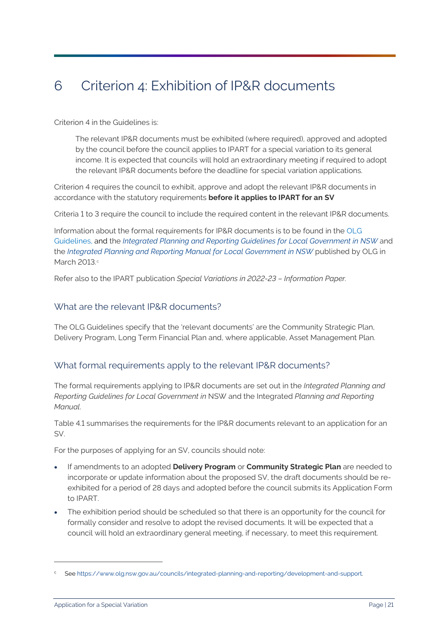## <span id="page-23-0"></span>6 Criterion 4: Exhibition of IP&R documents

Criterion 4 in the Guidelines is:

The relevant IP&R documents must be exhibited (where required), approved and adopted by the council before the council applies to IPART for a special variation to its general income. It is expected that councils will hold an extraordinary meeting if required to adopt the relevant IP&R documents before the deadline for special variation applications.

Criterion 4 requires the council to exhibit, approve and adopt the relevant IP&R documents in accordance with the statutory requirements **before it applies to IPART for an SV**

Criteria 1 to 3 require the council to include the required content in the relevant IP&R documents.

Information about the formal requirements for IP&R documents is to be found in the OLG Guidelines, and the *[Integrated Planning and Reporting Guidelines for Local Government in NSW](https://www.olg.nsw.gov.au/sites/default/files/Intergrated-Planning-and-Reporting-Guidelines-March%202013.pdf)* and the *[Integrated Planning and Reporting Manual](https://www.olg.nsw.gov.au/sites/default/files/Intergrated-Planning-and-Reporting-Manual-March-2013.pdf) for Local Government in NSW* published by OLG in Mar[c](#page-23-1)h 2013.c

Refer also to the IPART publication *Special Variations in 2022-23 – Information Paper.*

#### What are the relevant IP&R documents?

The OLG Guidelines specify that the 'relevant documents' are the Community Strategic Plan, Delivery Program, Long Term Financial Plan and, where applicable, Asset Management Plan.

#### What formal requirements apply to the relevant IP&R documents?

The formal requirements applying to IP&R documents are set out in the *Integrated Planning and Reporting Guidelines for Local Government in* NSW and the Integrated *Planning and Reporting Manual*.

Table 4.1 summarises the requirements for the IP&R documents relevant to an application for an SV.

For the purposes of applying for an SV, councils should note:

- If amendments to an adopted **Delivery Program** or **Community Strategic Plan** are needed to incorporate or update information about the proposed SV, the draft documents should be reexhibited for a period of 28 days and adopted before the council submits its Application Form to IPART.
- The exhibition period should be scheduled so that there is an opportunity for the council for formally consider and resolve to adopt the revised documents. It will be expected that a council will hold an extraordinary general meeting, if necessary, to meet this requirement.

<span id="page-23-1"></span>See https://www.olg.nsw.gov.au/councils/integrated-planning-and-reporting/development-and-support.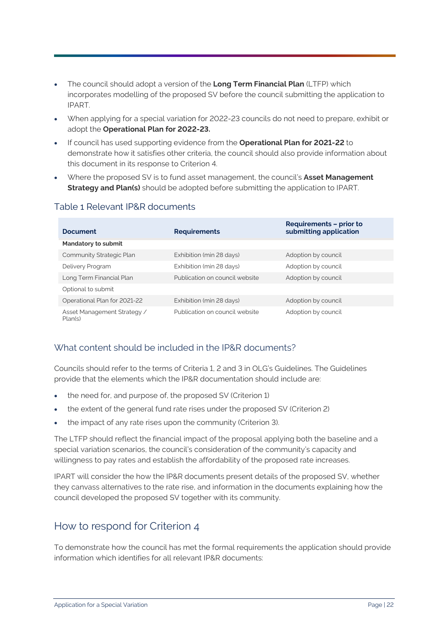- The council should adopt a version of the **Long Term Financial Plan** (LTFP) which incorporates modelling of the proposed SV before the council submitting the application to IPART.
- When applying for a special variation for 2022-23 councils do not need to prepare, exhibit or adopt the **Operational Plan for 2022-23.**
- If council has used supporting evidence from the **Operational Plan for 2021-22** to demonstrate how it satisfies other criteria, the council should also provide information about this document in its response to Criterion 4.
- Where the proposed SV is to fund asset management, the council's **Asset Management Strategy and Plan(s)** should be adopted before submitting the application to IPART.

| <b>Document</b>                        | <b>Requirements</b>            | <b>Requirements - prior to</b><br>submitting application |  |  |
|----------------------------------------|--------------------------------|----------------------------------------------------------|--|--|
| <b>Mandatory to submit</b>             |                                |                                                          |  |  |
| Community Strategic Plan               | Exhibition (min 28 days)       | Adoption by council                                      |  |  |
| Delivery Program                       | Exhibition (min 28 days)       | Adoption by council                                      |  |  |
| Long Term Financial Plan               | Publication on council website | Adoption by council                                      |  |  |
| Optional to submit                     |                                |                                                          |  |  |
| Operational Plan for 2021-22           | Exhibition (min 28 days)       | Adoption by council                                      |  |  |
| Asset Management Strategy /<br>Plan(s) | Publication on council website | Adoption by council                                      |  |  |

#### Table 1 Relevant IP&R documents

#### What content should be included in the IP&R documents?

Councils should refer to the terms of Criteria 1, 2 and 3 in OLG's Guidelines. The Guidelines provide that the elements which the IP&R documentation should include are:

- the need for, and purpose of, the proposed SV (Criterion 1)
- the extent of the general fund rate rises under the proposed SV (Criterion 2)
- the impact of any rate rises upon the community (Criterion 3).

The LTFP should reflect the financial impact of the proposal applying both the baseline and a special variation scenarios, the council's consideration of the community's capacity and willingness to pay rates and establish the affordability of the proposed rate increases.

IPART will consider the how the IP&R documents present details of the proposed SV, whether they canvass alternatives to the rate rise, and information in the documents explaining how the council developed the proposed SV together with its community.

### How to respond for Criterion 4

To demonstrate how the council has met the formal requirements the application should provide information which identifies for all relevant IP&R documents: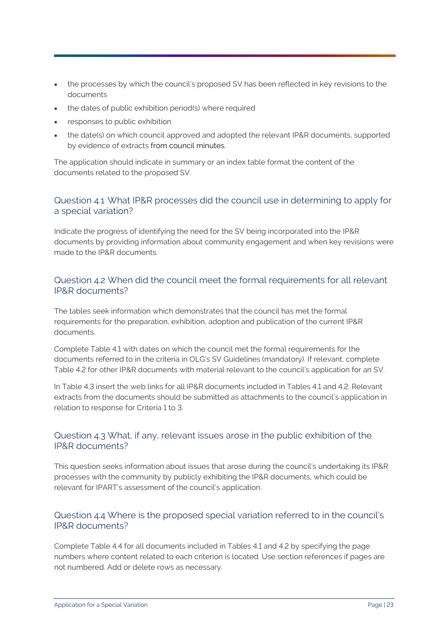- the processes by which the council's proposed SV has been reflected in key revisions to the documents
- the dates of public exhibition period(s) where required
- responses to public exhibition
- the date(s) on which council approved and adopted the relevant IP&R documents, supported by evidence of extracts from council minutes.

The application should indicate in summary or an index table format the content of the documents related to the proposed SV.

#### Question 4.1 What IP&R processes did the council use in determining to apply for a special variation?

Indicate the progress of identifying the need for the SV being incorporated into the IP&R documents by providing information about community engagement and when key revisions were made to the IP&R documents.

#### Question 4.2 When did the council meet the formal requirements for all relevant IP&R documents?

The tables seek information which demonstrates that the council has met the formal requirements for the preparation, exhibition, adoption and publication of the current IP&R documents.

Complete Table 4.1 with dates on which the council met the formal requirements for the documents referred to in the criteria in OLG's SV Guidelines (mandatory). If relevant, complete Table 4.2 for other IP&R documents with material relevant to the council's application for an SV.

In Table 4.3 insert the web links for all IP&R documents included in Tables 4.1 and 4.2. Relevant extracts from the documents should be submitted as attachments to the council's application in relation to response for Criteria 1 to 3.

#### Question 4.3 What, if any, relevant issues arose in the public exhibition of the IP&R documents?

This question seeks information about issues that arose during the council's undertaking its IP&R processes with the community by publicly exhibiting the IP&R documents, which could be relevant for IPART's assessment of the council's application.

#### Question 4.4 Where is the proposed special variation referred to in the council's IP&R documents?

Complete Table 4.4 for all documents included in Tables 4.1 and 4.2 by specifying the page numbers where content related to each criterion is located. Use section references if pages are not numbered. Add or delete rows as necessary.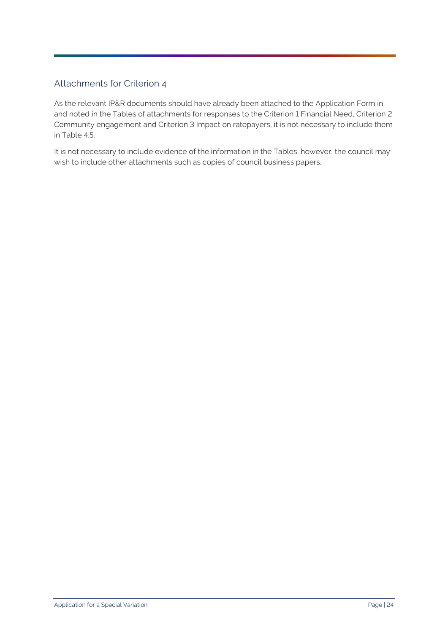#### Attachments for Criterion 4

As the relevant IP&R documents should have already been attached to the Application Form in and noted in the Tables of attachments for responses to the Criterion 1 Financial Need, Criterion 2 Community engagement and Criterion 3 Impact on ratepayers, it is not necessary to include them in Table 4.5.

It is not necessary to include evidence of the information in the Tables; however, the council may wish to include other attachments such as copies of council business papers.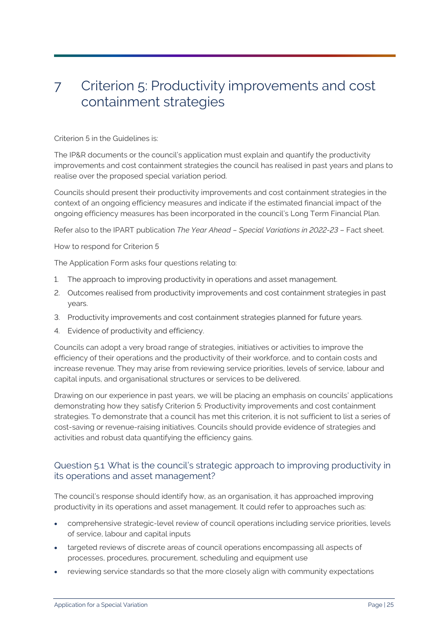### <span id="page-27-0"></span>7 Criterion 5: Productivity improvements and cost containment strategies

Criterion 5 in the Guidelines is:

The IP&R documents or the council's application must explain and quantify the productivity improvements and cost containment strategies the council has realised in past years and plans to realise over the proposed special variation period.

Councils should present their productivity improvements and cost containment strategies in the context of an ongoing efficiency measures and indicate if the estimated financial impact of the ongoing efficiency measures has been incorporated in the council's Long Term Financial Plan.

Refer also to the IPART publication *The Year Ahead – Special Variations in 2022-23* – Fact sheet.

How to respond for Criterion 5

The Application Form asks four questions relating to:

- 1. The approach to improving productivity in operations and asset management.
- 2. Outcomes realised from productivity improvements and cost containment strategies in past years.
- 3. Productivity improvements and cost containment strategies planned for future years.
- 4. Evidence of productivity and efficiency.

Councils can adopt a very broad range of strategies, initiatives or activities to improve the efficiency of their operations and the productivity of their workforce, and to contain costs and increase revenue. They may arise from reviewing service priorities, levels of service, labour and capital inputs, and organisational structures or services to be delivered.

Drawing on our experience in past years, we will be placing an emphasis on councils' applications demonstrating how they satisfy Criterion 5: Productivity improvements and cost containment strategies. To demonstrate that a council has met this criterion, it is not sufficient to list a series of cost-saving or revenue-raising initiatives. Councils should provide evidence of strategies and activities and robust data quantifying the efficiency gains.

#### Question 5.1 What is the council's strategic approach to improving productivity in its operations and asset management?

The council's response should identify how, as an organisation, it has approached improving productivity in its operations and asset management. It could refer to approaches such as:

- comprehensive strategic-level review of council operations including service priorities, levels of service, labour and capital inputs
- targeted reviews of discrete areas of council operations encompassing all aspects of processes, procedures, procurement, scheduling and equipment use
- reviewing service standards so that the more closely align with community expectations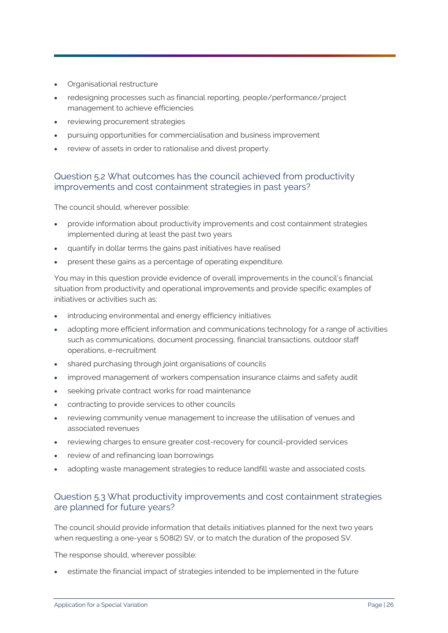- Organisational restructure
- redesigning processes such as financial reporting, people/performance/project management to achieve efficiencies
- reviewing procurement strategies
- pursuing opportunities for commercialisation and business improvement
- review of assets in order to rationalise and divest property.

#### Question 5.2 What outcomes has the council achieved from productivity improvements and cost containment strategies in past years?

The council should, wherever possible:

- provide information about productivity improvements and cost containment strategies implemented during at least the past two years
- quantify in dollar terms the gains past initiatives have realised
- present these gains as a percentage of operating expenditure.

You may in this question provide evidence of overall improvements in the council's financial situation from productivity and operational improvements and provide specific examples of initiatives or activities such as:

- introducing environmental and energy efficiency initiatives
- adopting more efficient information and communications technology for a range of activities such as communications, document processing, financial transactions, outdoor staff operations, e-recruitment
- shared purchasing through joint organisations of councils
- improved management of workers compensation insurance claims and safety audit
- seeking private contract works for road maintenance
- contracting to provide services to other councils
- reviewing community venue management to increase the utilisation of venues and associated revenues
- reviewing charges to ensure greater cost-recovery for council-provided services
- review of and refinancing loan borrowings
- adopting waste management strategies to reduce landfill waste and associated costs.

#### Question 5.3 What productivity improvements and cost containment strategies are planned for future years?

The council should provide information that details initiatives planned for the next two years when requesting a one-year s 508(2) SV, or to match the duration of the proposed SV.

The response should, wherever possible:

• estimate the financial impact of strategies intended to be implemented in the future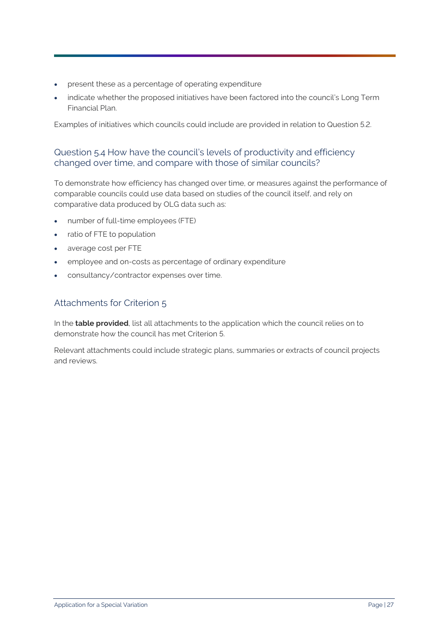- present these as a percentage of operating expenditure
- indicate whether the proposed initiatives have been factored into the council's Long Term Financial Plan.

Examples of initiatives which councils could include are provided in relation to Question 5.2.

#### Question 5.4 How have the council's levels of productivity and efficiency changed over time, and compare with those of similar councils?

To demonstrate how efficiency has changed over time, or measures against the performance of comparable councils could use data based on studies of the council itself, and rely on comparative data produced by OLG data such as:

- number of full-time employees (FTE)
- ratio of FTE to population
- average cost per FTE
- employee and on-costs as percentage of ordinary expenditure
- consultancy/contractor expenses over time.

#### Attachments for Criterion 5

In the **table provided**, list all attachments to the application which the council relies on to demonstrate how the council has met Criterion 5.

Relevant attachments could include strategic plans, summaries or extracts of council projects and reviews.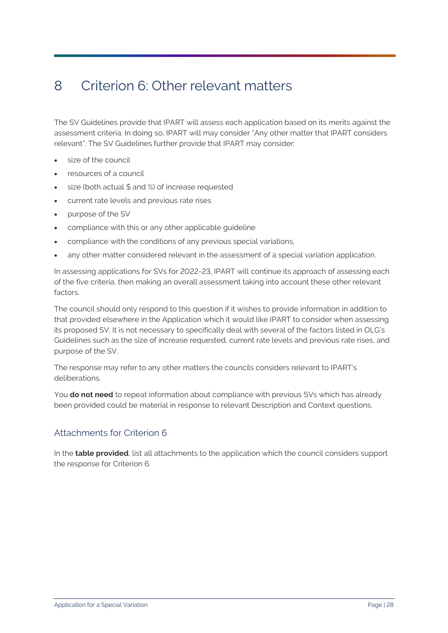### <span id="page-30-0"></span>8 Criterion 6: Other relevant matters

The SV Guidelines provide that IPART will assess each application based on its merits against the assessment criteria. In doing so, IPART will may consider "Any other matter that IPART considers relevant". The SV Guidelines further provide that IPART may consider:

- size of the council
- resources of a council
- size (both actual  $$$  and %) of increase requested
- current rate levels and previous rate rises
- purpose of the SV
- compliance with this or any other applicable guideline
- compliance with the conditions of any previous special variations,
- any other matter considered relevant in the assessment of a special variation application.

In assessing applications for SVs for 2022-23, IPART will continue its approach of assessing each of the five criteria, then making an overall assessment taking into account these other relevant factors.

The council should only respond to this question if it wishes to provide information in addition to that provided elsewhere in the Application which it would like IPART to consider when assessing its proposed SV. It is not necessary to specifically deal with several of the factors listed in OLG's Guidelines such as the size of increase requested, current rate levels and previous rate rises, and purpose of the SV.

The response may refer to any other matters the councils considers relevant to IPART's deliberations.

You **do not need** to repeat information about compliance with previous SVs which has already been provided could be material in response to relevant Description and Context questions.

#### Attachments for Criterion 6

In the **table provided**, list all attachments to the application which the council considers support the response for Criterion 6.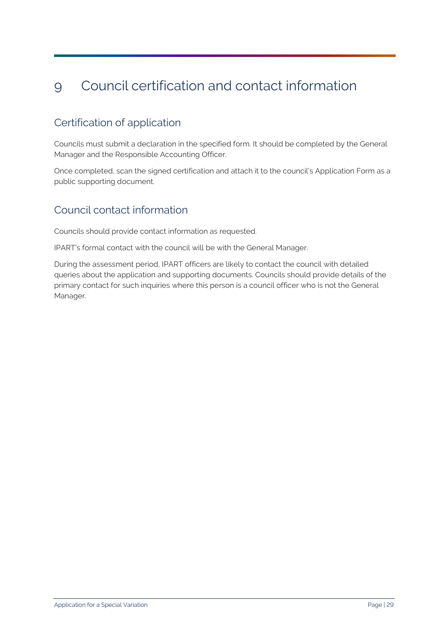## <span id="page-31-0"></span>9 Council certification and contact information

### Certification of application

Councils must submit a declaration in the specified form. It should be completed by the General Manager and the Responsible Accounting Officer.

Once completed, scan the signed certification and attach it to the council's Application Form as a public supporting document.

### Council contact information

Councils should provide contact information as requested.

IPART's formal contact with the council will be with the General Manager.

During the assessment period, IPART officers are likely to contact the council with detailed queries about the application and supporting documents. Councils should provide details of the primary contact for such inquiries where this person is a council officer who is not the General Manager.